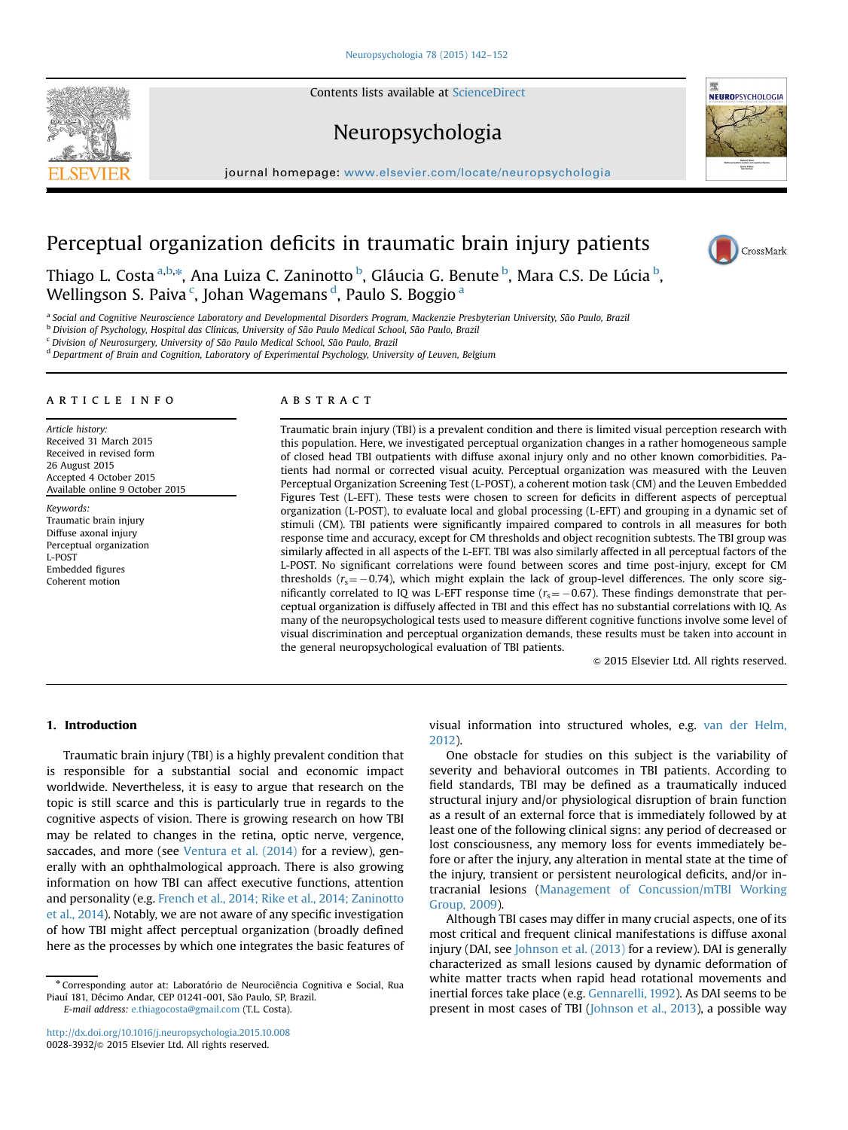Contents lists available at [ScienceDirect](www.sciencedirect.com/science/journal/00283932)

### Neuropsychologia

journal homepage: <www.elsevier.com/locate/neuropsychologia>ls.



# Perceptual organization deficits in traumatic brain injury patients



Thiago L. Costa <sup>a,b,</sup>\*, Ana Luiza C. Zaninotto <sup>b</sup>, Gláucia G. Benute <sup>b</sup>, Mara C.S. De Lúcia <sup>b</sup>, Wellingson S. Paiva <sup>c</sup>, Johan Wagemans <sup>d</sup>, Paulo S. Boggio <sup>a</sup>

<sup>a</sup> Social and Cognitive Neuroscience Laboratory and Developmental Disorders Program, Mackenzie Presbyterian University, São Paulo, Brazil

<sup>b</sup> Division of Psychology, Hospital das Clínicas, University of São Paulo Medical School, São Paulo, Brazil

<sup>c</sup> Division of Neurosurgery, University of São Paulo Medical School, São Paulo, Brazil

<sup>d</sup> Department of Brain and Cognition, Laboratory of Experimental Psychology, University of Leuven, Belgium

#### article info

Article history: Received 31 March 2015 Received in revised form 26 August 2015 Accepted 4 October 2015 Available online 9 October 2015

Keywords: Traumatic brain injury Diffuse axonal injury Perceptual organization L-POST Embedded figures Coherent motion

#### **ABSTRACT**

Traumatic brain injury (TBI) is a prevalent condition and there is limited visual perception research with this population. Here, we investigated perceptual organization changes in a rather homogeneous sample of closed head TBI outpatients with diffuse axonal injury only and no other known comorbidities. Patients had normal or corrected visual acuity. Perceptual organization was measured with the Leuven Perceptual Organization Screening Test (L-POST), a coherent motion task (CM) and the Leuven Embedded Figures Test (L-EFT). These tests were chosen to screen for deficits in different aspects of perceptual organization (L-POST), to evaluate local and global processing (L-EFT) and grouping in a dynamic set of stimuli (CM). TBI patients were significantly impaired compared to controls in all measures for both response time and accuracy, except for CM thresholds and object recognition subtests. The TBI group was similarly affected in all aspects of the L-EFT. TBI was also similarly affected in all perceptual factors of the L-POST. No significant correlations were found between scores and time post-injury, except for CM thresholds ( $r_s$  =  $-$  0.74), which might explain the lack of group-level differences. The only score significantly correlated to IQ was L-EFT response time ( $r_s = -0.67$ ). These findings demonstrate that perceptual organization is diffusely affected in TBI and this effect has no substantial correlations with IQ. As many of the neuropsychological tests used to measure different cognitive functions involve some level of visual discrimination and perceptual organization demands, these results must be taken into account in the general neuropsychological evaluation of TBI patients.

& 2015 Elsevier Ltd. All rights reserved.

#### 1. Introduction

Traumatic brain injury (TBI) is a highly prevalent condition that is responsible for a substantial social and economic impact worldwide. Nevertheless, it is easy to argue that research on the topic is still scarce and this is particularly true in regards to the cognitive aspects of vision. There is growing research on how TBI may be related to changes in the retina, optic nerve, vergence, saccades, and more (see Ventura et al. (2014) for a review), generally with an ophthalmological approach. There is also growing information on how TBI can affect executive functions, attention and personality (e.g. French et al., 2014; Rike et al., 2014; Zaninotto et al., 2014). Notably, we are not aware of any specific investigation of how TBI might affect perceptual organization (broadly defined here as the processes by which one integrates the basic features of

E-mail address: [e.thiagocosta@gmail.com](mailto:e.thiagocosta@gmail.com) (T.L. Costa).

<http://dx.doi.org/10.1016/j.neuropsychologia.2015.10.008> 0028-3932/& 2015 Elsevier Ltd. All rights reserved.

visual information into structured wholes, e.g. van der Helm, 2012).

One obstacle for studies on this subject is the variability of severity and behavioral outcomes in TBI patients. According to field standards, TBI may be defined as a traumatically induced structural injury and/or physiological disruption of brain function as a result of an external force that is immediately followed by at least one of the following clinical signs: any period of decreased or lost consciousness, any memory loss for events immediately before or after the injury, any alteration in mental state at the time of the injury, transient or persistent neurological deficits, and/or intracranial lesions (Management of Concussion/mTBI Working Group, 2009).

Although TBI cases may differ in many crucial aspects, one of its most critical and frequent clinical manifestations is diffuse axonal injury (DAI, see Johnson et al. (2013) for a review). DAI is generally characterized as small lesions caused by dynamic deformation of white matter tracts when rapid head rotational movements and inertial forces take place (e.g. Gennarelli, 1992). As DAI seems to be present in most cases of TBI (Johnson et al., 2013), a possible way



<sup>n</sup> Corresponding autor at: Laboratório de Neurociência Cognitiva e Social, Rua Piauí 181, Décimo Andar, CEP 01241-001, São Paulo, SP, Brazil.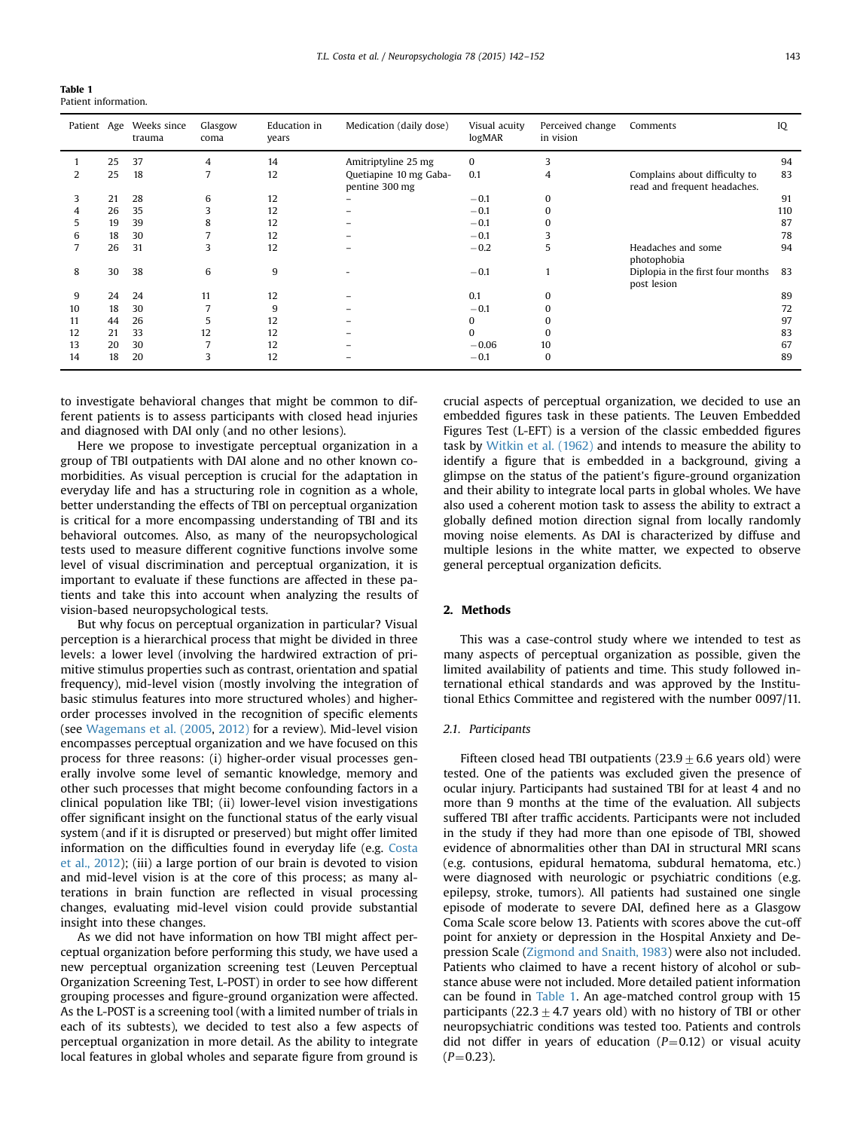Table 1 Patient information.

| Patient Age |    | Weeks since<br>trauma | Glasgow<br>coma | Education in<br>years | Medication (daily dose)                  | Visual acuity<br>logMAR | Perceived change<br>in vision | Comments                                                      | IQ  |
|-------------|----|-----------------------|-----------------|-----------------------|------------------------------------------|-------------------------|-------------------------------|---------------------------------------------------------------|-----|
|             | 25 | 37                    | 4               | 14                    | Amitriptyline 25 mg                      | $\bf{0}$                |                               |                                                               | 94  |
|             | 25 | 18                    |                 | 12                    | Quetiapine 10 mg Gaba-<br>pentine 300 mg | 0.1                     | 4                             | Complains about difficulty to<br>read and frequent headaches. | 83  |
| 3           | 21 | 28                    | 6               | 12                    | -                                        | $-0.1$                  | $\Omega$                      |                                                               | 91  |
| 4           | 26 | 35                    | 3               | 12                    |                                          | $-0.1$                  | $\Omega$                      |                                                               | 110 |
| 5           | 19 | 39                    | 8               | 12                    |                                          | $-0.1$                  | 0                             |                                                               | 87  |
| 6           | 18 | 30                    |                 | 12                    |                                          | $-0.1$                  |                               |                                                               | 78  |
|             | 26 | 31                    | 3               | 12                    |                                          | $-0.2$                  | 5                             | Headaches and some<br>photophobia                             | 94  |
| 8           | 30 | 38                    | 6               | 9                     |                                          | $-0.1$                  |                               | Diplopia in the first four months<br>post lesion              | 83  |
| 9           | 24 | 24                    | 11              | 12                    |                                          | 0.1                     | $\Omega$                      |                                                               | 89  |
| 10          | 18 | 30                    |                 | 9                     |                                          | $-0.1$                  | O                             |                                                               | 72  |
| 11          | 44 | 26                    | 5               | 12                    |                                          | $\Omega$                | 0                             |                                                               | 97  |
| 12          | 21 | 33                    | 12              | 12                    |                                          | $\Omega$                | $\Omega$                      |                                                               | 83  |
| 13          | 20 | 30                    |                 | 12                    |                                          | $-0.06$                 | 10                            |                                                               | 67  |
| 14          | 18 | 20                    | 3               | 12                    |                                          | $-0.1$                  | $\bf{0}$                      |                                                               | 89  |

to investigate behavioral changes that might be common to different patients is to assess participants with closed head injuries and diagnosed with DAI only (and no other lesions).

Here we propose to investigate perceptual organization in a group of TBI outpatients with DAI alone and no other known comorbidities. As visual perception is crucial for the adaptation in everyday life and has a structuring role in cognition as a whole, better understanding the effects of TBI on perceptual organization is critical for a more encompassing understanding of TBI and its behavioral outcomes. Also, as many of the neuropsychological tests used to measure different cognitive functions involve some level of visual discrimination and perceptual organization, it is important to evaluate if these functions are affected in these patients and take this into account when analyzing the results of vision-based neuropsychological tests.

But why focus on perceptual organization in particular? Visual perception is a hierarchical process that might be divided in three levels: a lower level (involving the hardwired extraction of primitive stimulus properties such as contrast, orientation and spatial frequency), mid-level vision (mostly involving the integration of basic stimulus features into more structured wholes) and higherorder processes involved in the recognition of specific elements (see Wagemans et al. (2005, 2012) for a review). Mid-level vision encompasses perceptual organization and we have focused on this process for three reasons: (i) higher-order visual processes generally involve some level of semantic knowledge, memory and other such processes that might become confounding factors in a clinical population like TBI; (ii) lower-level vision investigations offer significant insight on the functional status of the early visual system (and if it is disrupted or preserved) but might offer limited information on the difficulties found in everyday life (e.g. Costa et al., 2012); (iii) a large portion of our brain is devoted to vision and mid-level vision is at the core of this process; as many alterations in brain function are reflected in visual processing changes, evaluating mid-level vision could provide substantial insight into these changes.

As we did not have information on how TBI might affect perceptual organization before performing this study, we have used a new perceptual organization screening test (Leuven Perceptual Organization Screening Test, L-POST) in order to see how different grouping processes and figure-ground organization were affected. As the L-POST is a screening tool (with a limited number of trials in each of its subtests), we decided to test also a few aspects of perceptual organization in more detail. As the ability to integrate local features in global wholes and separate figure from ground is

crucial aspects of perceptual organization, we decided to use an embedded figures task in these patients. The Leuven Embedded Figures Test (L-EFT) is a version of the classic embedded figures task by Witkin et al. (1962) and intends to measure the ability to identify a figure that is embedded in a background, giving a glimpse on the status of the patient's figure-ground organization and their ability to integrate local parts in global wholes. We have also used a coherent motion task to assess the ability to extract a globally defined motion direction signal from locally randomly moving noise elements. As DAI is characterized by diffuse and multiple lesions in the white matter, we expected to observe general perceptual organization deficits.

#### 2. Methods

This was a case-control study where we intended to test as many aspects of perceptual organization as possible, given the limited availability of patients and time. This study followed international ethical standards and was approved by the Institutional Ethics Committee and registered with the number 0097/11.

#### 2.1. Participants

Fifteen closed head TBI outpatients  $(23.9 \pm 6.6$  years old) were tested. One of the patients was excluded given the presence of ocular injury. Participants had sustained TBI for at least 4 and no more than 9 months at the time of the evaluation. All subjects suffered TBI after traffic accidents. Participants were not included in the study if they had more than one episode of TBI, showed evidence of abnormalities other than DAI in structural MRI scans (e.g. contusions, epidural hematoma, subdural hematoma, etc.) were diagnosed with neurologic or psychiatric conditions (e.g. epilepsy, stroke, tumors). All patients had sustained one single episode of moderate to severe DAI, defined here as a Glasgow Coma Scale score below 13. Patients with scores above the cut-off point for anxiety or depression in the Hospital Anxiety and Depression Scale (Zigmond and Snaith, 1983) were also not included. Patients who claimed to have a recent history of alcohol or substance abuse were not included. More detailed patient information can be found in Table 1. An age-matched control group with 15 participants (22.3  $\pm$  4.7 years old) with no history of TBI or other neuropsychiatric conditions was tested too. Patients and controls did not differ in years of education  $(P=0.12)$  or visual acuity  $(P=0.23)$ .